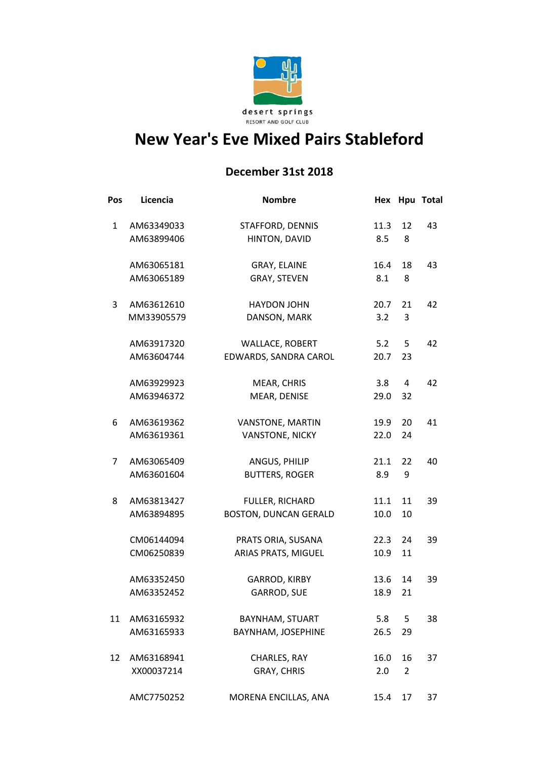

## **New Year's Eve Mixed Pairs Stableford**

## **December 31st 2018**

| Pos | Licencia   | <b>Nombre</b>                | Hex  |                | Hpu Total |
|-----|------------|------------------------------|------|----------------|-----------|
| 1   | AM63349033 | STAFFORD, DENNIS             | 11.3 | 12             | 43        |
|     | AM63899406 | HINTON, DAVID                | 8.5  | 8              |           |
|     | AM63065181 | GRAY, ELAINE                 | 16.4 | 18             | 43        |
|     | AM63065189 | GRAY, STEVEN                 | 8.1  | 8              |           |
| 3   | AM63612610 | <b>HAYDON JOHN</b>           | 20.7 | 21             | 42        |
|     | MM33905579 | DANSON, MARK                 | 3.2  | 3              |           |
|     | AM63917320 | <b>WALLACE, ROBERT</b>       | 5.2  | 5              | 42        |
|     | AM63604744 | EDWARDS, SANDRA CAROL        | 20.7 | 23             |           |
|     | AM63929923 | MEAR, CHRIS                  | 3.8  | 4              | 42        |
|     | AM63946372 | MEAR, DENISE                 | 29.0 | 32             |           |
| 6   | AM63619362 | VANSTONE, MARTIN             | 19.9 | 20             | 41        |
|     | AM63619361 | <b>VANSTONE, NICKY</b>       | 22.0 | 24             |           |
| 7   | AM63065409 | ANGUS, PHILIP                | 21.1 | 22             | 40        |
|     | AM63601604 | <b>BUTTERS, ROGER</b>        | 8.9  | 9              |           |
| 8   | AM63813427 | FULLER, RICHARD              | 11.1 | 11             | 39        |
|     | AM63894895 | <b>BOSTON, DUNCAN GERALD</b> | 10.0 | 10             |           |
|     | CM06144094 | PRATS ORIA, SUSANA           | 22.3 | 24             | 39        |
|     | CM06250839 | ARIAS PRATS, MIGUEL          | 10.9 | 11             |           |
|     | AM63352450 | <b>GARROD, KIRBY</b>         | 13.6 | 14             | 39        |
|     | AM63352452 | <b>GARROD, SUE</b>           | 18.9 | 21             |           |
| 11  | AM63165932 | <b>BAYNHAM, STUART</b>       | 5.8  | 5              | 38        |
|     | AM63165933 | BAYNHAM, JOSEPHINE           | 26.5 | 29             |           |
| 12  | AM63168941 | CHARLES, RAY                 | 16.0 | 16             | 37        |
|     | XX00037214 | GRAY, CHRIS                  | 2.0  | $\overline{2}$ |           |
|     | AMC7750252 | MORENA ENCILLAS, ANA         | 15.4 | 17             | 37        |